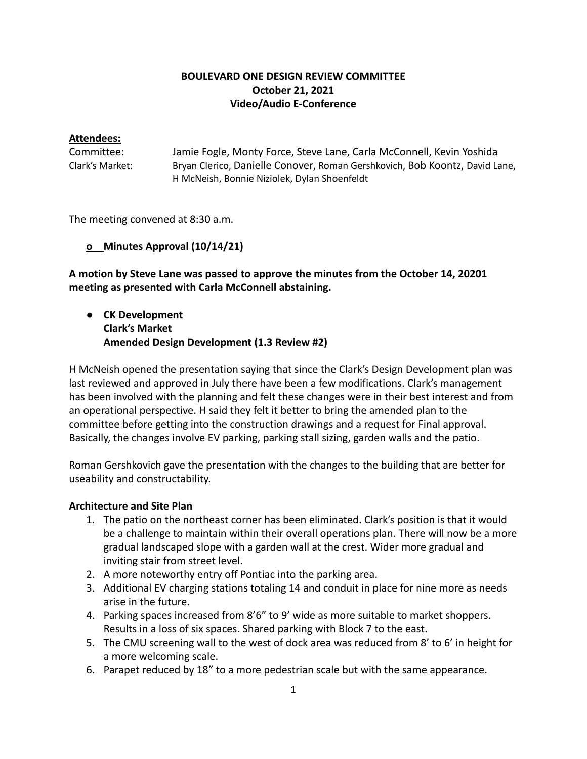### **BOULEVARD ONE DESIGN REVIEW COMMITTEE October 21, 2021 Video/Audio E-Conference**

#### **Attendees:**

Committee: Jamie Fogle, Monty Force, Steve Lane, Carla McConnell, Kevin Yoshida Clark's Market: Bryan Clerico, Danielle Conover, Roman Gershkovich, Bob Koontz, David Lane, H McNeish, Bonnie Niziolek, Dylan Shoenfeldt

The meeting convened at 8:30 a.m.

#### **o Minutes Approval (10/14/21)**

# **A motion by Steve Lane was passed to approve the minutes from the October 14, 20201 meeting as presented with Carla McConnell abstaining.**

● **CK Development Clark's Market Amended Design Development (1.3 Review #2)**

H McNeish opened the presentation saying that since the Clark's Design Development plan was last reviewed and approved in July there have been a few modifications. Clark's management has been involved with the planning and felt these changes were in their best interest and from an operational perspective. H said they felt it better to bring the amended plan to the committee before getting into the construction drawings and a request for Final approval. Basically, the changes involve EV parking, parking stall sizing, garden walls and the patio.

Roman Gershkovich gave the presentation with the changes to the building that are better for useability and constructability.

#### **Architecture and Site Plan**

- 1. The patio on the northeast corner has been eliminated. Clark's position is that it would be a challenge to maintain within their overall operations plan. There will now be a more gradual landscaped slope with a garden wall at the crest. Wider more gradual and inviting stair from street level.
- 2. A more noteworthy entry off Pontiac into the parking area.
- 3. Additional EV charging stations totaling 14 and conduit in place for nine more as needs arise in the future.
- 4. Parking spaces increased from 8'6" to 9' wide as more suitable to market shoppers. Results in a loss of six spaces. Shared parking with Block 7 to the east.
- 5. The CMU screening wall to the west of dock area was reduced from 8' to 6' in height for a more welcoming scale.
- 6. Parapet reduced by 18" to a more pedestrian scale but with the same appearance.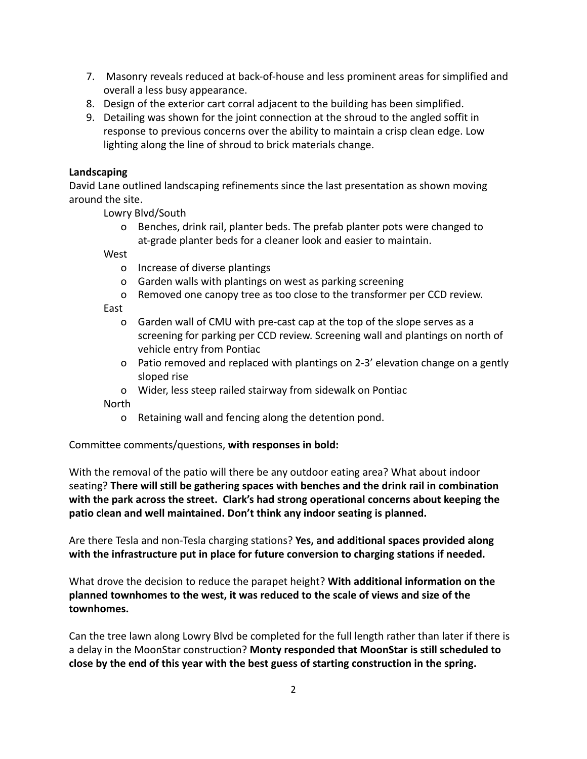- 7. Masonry reveals reduced at back-of-house and less prominent areas for simplified and overall a less busy appearance.
- 8. Design of the exterior cart corral adjacent to the building has been simplified.
- 9. Detailing was shown for the joint connection at the shroud to the angled soffit in response to previous concerns over the ability to maintain a crisp clean edge. Low lighting along the line of shroud to brick materials change.

### **Landscaping**

David Lane outlined landscaping refinements since the last presentation as shown moving around the site.

Lowry Blvd/South

o Benches, drink rail, planter beds. The prefab planter pots were changed to at-grade planter beds for a cleaner look and easier to maintain.

West

- o Increase of diverse plantings
- o Garden walls with plantings on west as parking screening
- o Removed one canopy tree as too close to the transformer per CCD review.

East

- o Garden wall of CMU with pre-cast cap at the top of the slope serves as a screening for parking per CCD review. Screening wall and plantings on north of vehicle entry from Pontiac
- o Patio removed and replaced with plantings on 2-3' elevation change on a gently sloped rise
- o Wider, less steep railed stairway from sidewalk on Pontiac

North

o Retaining wall and fencing along the detention pond.

Committee comments/questions, **with responses in bold:**

With the removal of the patio will there be any outdoor eating area? What about indoor seating? **There will still be gathering spaces with benches and the drink rail in combination with the park across the street. Clark's had strong operational concerns about keeping the patio clean and well maintained. Don't think any indoor seating is planned.**

Are there Tesla and non-Tesla charging stations? **Yes, and additional spaces provided along with the infrastructure put in place for future conversion to charging stations if needed.**

What drove the decision to reduce the parapet height? **With additional information on the planned townhomes to the west, it was reduced to the scale of views and size of the townhomes.**

Can the tree lawn along Lowry Blvd be completed for the full length rather than later if there is a delay in the MoonStar construction? **Monty responded that MoonStar is still scheduled to close by the end of this year with the best guess of starting construction in the spring.**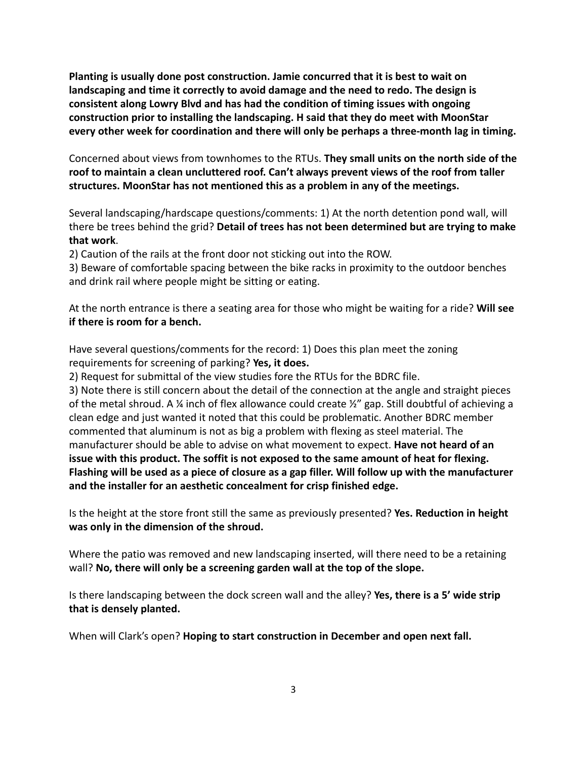**Planting is usually done post construction. Jamie concurred that it is best to wait on landscaping and time it correctly to avoid damage and the need to redo. The design is consistent along Lowry Blvd and has had the condition of timing issues with ongoing construction prior to installing the landscaping. H said that they do meet with MoonStar every other week for coordination and there will only be perhaps a three-month lag in timing.**

Concerned about views from townhomes to the RTUs. **They small units on the north side of the roof to maintain a clean uncluttered roof. Can't always prevent views of the roof from taller structures. MoonStar has not mentioned this as a problem in any of the meetings.**

Several landscaping/hardscape questions/comments: 1) At the north detention pond wall, will there be trees behind the grid? **Detail of trees has not been determined but are trying to make that work**.

2) Caution of the rails at the front door not sticking out into the ROW.

3) Beware of comfortable spacing between the bike racks in proximity to the outdoor benches and drink rail where people might be sitting or eating.

At the north entrance is there a seating area for those who might be waiting for a ride? **Will see if there is room for a bench.**

Have several questions/comments for the record: 1) Does this plan meet the zoning requirements for screening of parking? **Yes, it does.**

2) Request for submittal of the view studies fore the RTUs for the BDRC file.

3) Note there is still concern about the detail of the connection at the angle and straight pieces of the metal shroud. A  $\frac{1}{4}$  inch of flex allowance could create  $\frac{1}{2}$  gap. Still doubtful of achieving a clean edge and just wanted it noted that this could be problematic. Another BDRC member commented that aluminum is not as big a problem with flexing as steel material. The manufacturer should be able to advise on what movement to expect. **Have not heard of an issue with this product. The soffit is not exposed to the same amount of heat for flexing. Flashing will be used as a piece of closure as a gap filler. Will follow up with the manufacturer and the installer for an aesthetic concealment for crisp finished edge.**

Is the height at the store front still the same as previously presented? **Yes. Reduction in height was only in the dimension of the shroud.**

Where the patio was removed and new landscaping inserted, will there need to be a retaining wall? **No, there will only be a screening garden wall at the top of the slope.**

Is there landscaping between the dock screen wall and the alley? **Yes, there is a 5' wide strip that is densely planted.**

When will Clark's open? **Hoping to start construction in December and open next fall.**